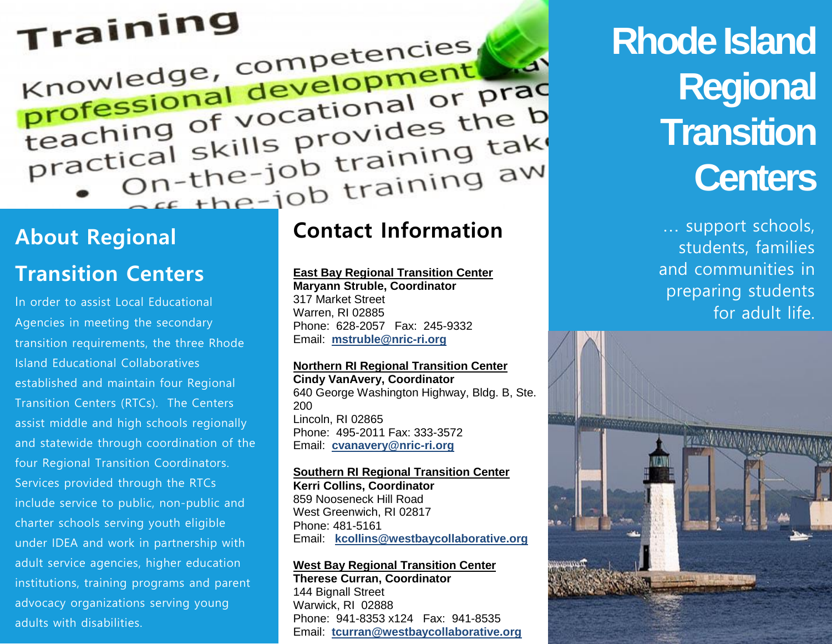# Training

Knowledge, competencies Knowledge, competencies knowledge, development<br>professional development<br>teaching of vocational or practice the b professional or professional or professional of vocational of the b<br>practical skills provides the b<br>practical skills provides the b ical skills provides that<br>On-the-job training take About Regional **Contact Information** 

# **Transition Centers**

In order to assist Local Educational Agencies in meeting the secondary transition requirements, the three Rhode Island Educational Collaboratives established and maintain four Regional Transition Centers (RTCs). The Centers assist middle and high schools regionally and statewide through coordination of the four Regional Transition Coordinators. Services provided through the RTCs include service to public, non-public and charter schools serving youth eligible under IDEA and work in partnership with adult service agencies, higher education institutions, training programs and parent advocacy organizations serving young adults with disabilities.

# **Contact Information**

### **East Bay Regional Transition Center**

**Maryann Struble, Coordinator** 317 Market Street Warren, RI 02885 Phone: 628-2057 Fax: 245-9332 Email: **[mstruble@nric-ri.org](mailto:mstruble@nric-ri.org)**

### **Northern RI Regional Transition Center**

**Cindy VanAvery, Coordinator** 640 George Washington Highway, Bldg. B, Ste. 200 Lincoln, RI 02865 Phone: 495-2011 Fax: 333-3572 Email: **[cvanavery@nric-ri.org](mailto:cvanavery@nric-ri.org)**

### **Southern RI Regional Transition Center**

**Kerri Collins, Coordinator** 859 Nooseneck Hill Road West Greenwich, RI 02817 Phone: 481-5161 Email: **[kcollins@westbaycollaborative.org](mailto:kcollins@westbaycollaborative.org)**

### **West Bay Regional Transition Center**

**Therese Curran, Coordinator** 144 Bignall Street Warwick, RI 02888 Phone: 941-8353 x124 Fax: 941-8535 Email: **[tcurran@westbaycollaborative.org](mailto:tcurran@westbaycollaborative.org)**

# **Rhode Island Regional Transition Centers**

… support schools, students, families and communities in preparing students for adult life.